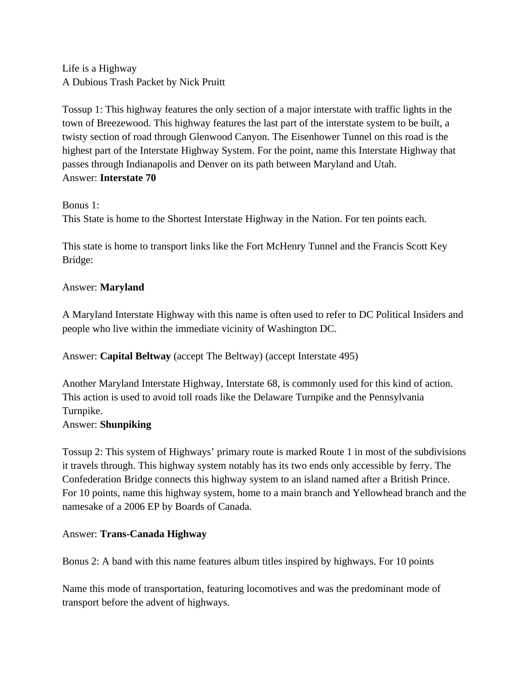Life is a Highway A Dubious Trash Packet by Nick Pruitt

Tossup 1: This highway features the only section of a major interstate with traffic lights in the town of Breezewood. This highway features the last part of the interstate system to be built, a twisty section of road through Glenwood Canyon. The Eisenhower Tunnel on this road is the highest part of the Interstate Highway System. For the point, name this Interstate Highway that passes through Indianapolis and Denver on its path between Maryland and Utah. Answer: **Interstate 70**

Bonus 1:

This State is home to the Shortest Interstate Highway in the Nation. For ten points each.

This state is home to transport links like the Fort McHenry Tunnel and the Francis Scott Key Bridge:

# Answer: **Maryland**

A Maryland Interstate Highway with this name is often used to refer to DC Political Insiders and people who live within the immediate vicinity of Washington DC.

Answer: **Capital Beltway** (accept The Beltway) (accept Interstate 495)

Another Maryland Interstate Highway, Interstate 68, is commonly used for this kind of action. This action is used to avoid toll roads like the Delaware Turnpike and the Pennsylvania Turnpike.

# Answer: **Shunpiking**

Tossup 2: This system of Highways' primary route is marked Route 1 in most of the subdivisions it travels through. This highway system notably has its two ends only accessible by ferry. The Confederation Bridge connects this highway system to an island named after a British Prince. For 10 points, name this highway system, home to a main branch and Yellowhead branch and the namesake of a 2006 EP by Boards of Canada.

# Answer: **Trans-Canada Highway**

Bonus 2: A band with this name features album titles inspired by highways. For 10 points

Name this mode of transportation, featuring locomotives and was the predominant mode of transport before the advent of highways.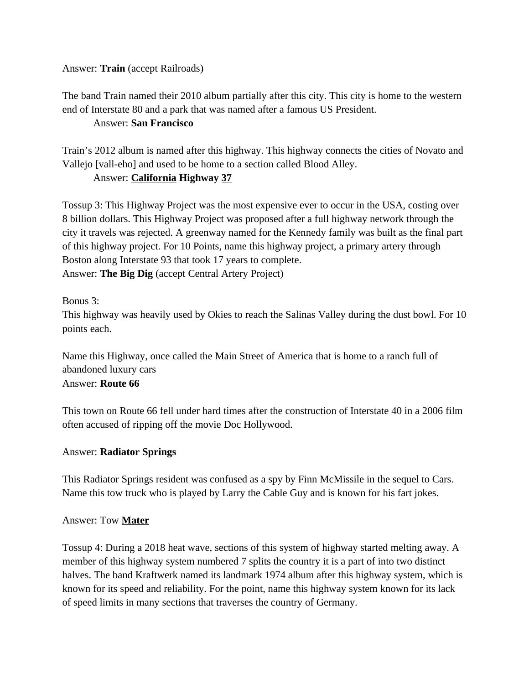## Answer: **Train** (accept Railroads)

The band Train named their 2010 album partially after this city. This city is home to the western end of Interstate 80 and a park that was named after a famous US President.

#### Answer: **San Francisco**

Train's 2012 album is named after this highway. This highway connects the cities of Novato and Vallejo [vall-eho] and used to be home to a section called Blood Alley.

# Answer: **California Highway 37**

Tossup 3: This Highway Project was the most expensive ever to occur in the USA, costing over 8 billion dollars. This Highway Project was proposed after a full highway network through the city it travels was rejected. A greenway named for the Kennedy family was built as the final part of this highway project. For 10 Points, name this highway project, a primary artery through Boston along Interstate 93 that took 17 years to complete. Answer: **The Big Dig** (accept Central Artery Project)

## Bonus 3:

This highway was heavily used by Okies to reach the Salinas Valley during the dust bowl. For 10 points each.

Name this Highway, once called the Main Street of America that is home to a ranch full of abandoned luxury cars Answer: **Route 66**

This town on Route 66 fell under hard times after the construction of Interstate 40 in a 2006 film often accused of ripping off the movie Doc Hollywood.

## Answer: **Radiator Springs**

This Radiator Springs resident was confused as a spy by Finn McMissile in the sequel to Cars. Name this tow truck who is played by Larry the Cable Guy and is known for his fart jokes.

## Answer: Tow **Mater**

Tossup 4: During a 2018 heat wave, sections of this system of highway started melting away. A member of this highway system numbered 7 splits the country it is a part of into two distinct halves. The band Kraftwerk named its landmark 1974 album after this highway system, which is known for its speed and reliability. For the point, name this highway system known for its lack of speed limits in many sections that traverses the country of Germany.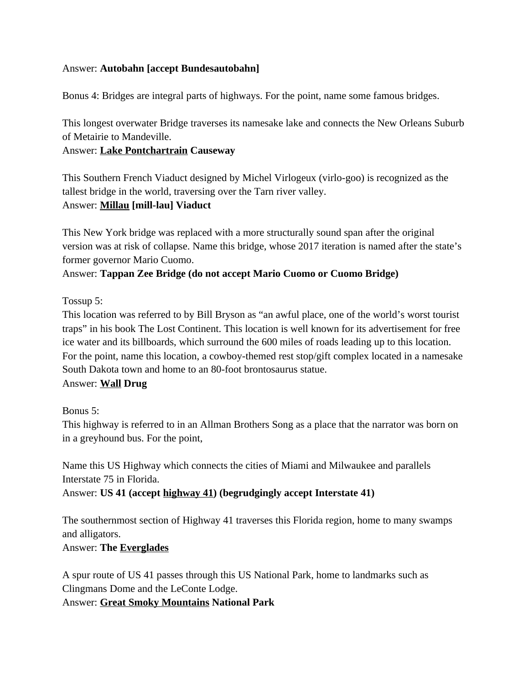## Answer: **Autobahn [accept Bundesautobahn]**

Bonus 4: Bridges are integral parts of highways. For the point, name some famous bridges.

This longest overwater Bridge traverses its namesake lake and connects the New Orleans Suburb of Metairie to Mandeville.

## Answer: **Lake Pontchartrain Causeway**

This Southern French Viaduct designed by Michel Virlogeux (virlo-goo) is recognized as the tallest bridge in the world, traversing over the Tarn river valley. Answer: **Millau [mill-lau] Viaduct**

This New York bridge was replaced with a more structurally sound span after the original version was at risk of collapse. Name this bridge, whose 2017 iteration is named after the state's former governor Mario Cuomo.

## Answer: **Tappan Zee Bridge (do not accept Mario Cuomo or Cuomo Bridge)**

Tossup 5:

This location was referred to by Bill Bryson as "an awful place, one of the world's worst tourist traps" in his book The Lost Continent. This location is well known for its advertisement for free ice water and its billboards, which surround the 600 miles of roads leading up to this location. For the point, name this location, a cowboy-themed rest stop/gift complex located in a namesake South Dakota town and home to an 80-foot brontosaurus statue.

Answer: **Wall Drug**

Bonus 5:

This highway is referred to in an Allman Brothers Song as a place that the narrator was born on in a greyhound bus. For the point,

Name this US Highway which connects the cities of Miami and Milwaukee and parallels Interstate 75 in Florida.

Answer: **US 41 (accept highway 41) (begrudgingly accept Interstate 41)**

The southernmost section of Highway 41 traverses this Florida region, home to many swamps and alligators.

## Answer: **The Everglades**

A spur route of US 41 passes through this US National Park, home to landmarks such as Clingmans Dome and the LeConte Lodge.

Answer: **Great Smoky Mountains National Park**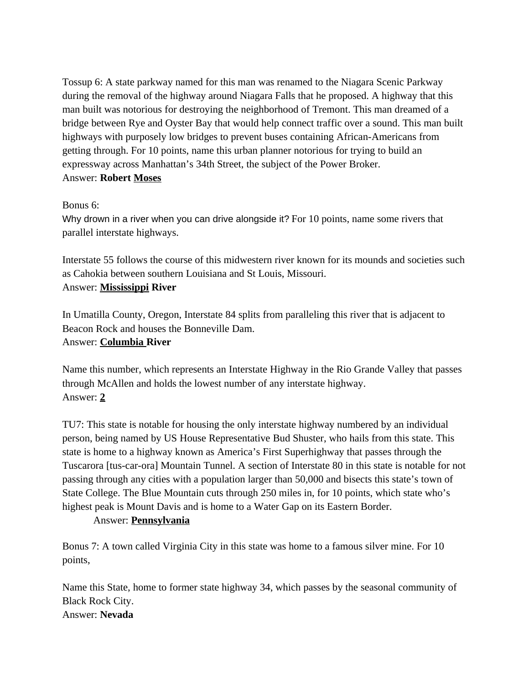Tossup 6: A state parkway named for this man was renamed to the Niagara Scenic Parkway during the removal of the highway around Niagara Falls that he proposed. A highway that this man built was notorious for destroying the neighborhood of Tremont. This man dreamed of a bridge between Rye and Oyster Bay that would help connect traffic over a sound. This man built highways with purposely low bridges to prevent buses containing African-Americans from getting through. For 10 points, name this urban planner notorious for trying to build an expressway across Manhattan's 34th Street, the subject of the Power Broker. Answer: **Robert Moses**

## Bonus 6:

Why drown in a river when you can drive alongside it? For 10 points, name some rivers that parallel interstate highways.

Interstate 55 follows the course of this midwestern river known for its mounds and societies such as Cahokia between southern Louisiana and St Louis, Missouri. Answer: **Mississippi River**

In Umatilla County, Oregon, Interstate 84 splits from paralleling this river that is adjacent to Beacon Rock and houses the Bonneville Dam. Answer: **Columbia River**

Name this number, which represents an Interstate Highway in the Rio Grande Valley that passes through McAllen and holds the lowest number of any interstate highway. Answer: **2**

TU7: This state is notable for housing the only interstate highway numbered by an individual person, being named by US House Representative Bud Shuster, who hails from this state. This state is home to a highway known as America's First Superhighway that passes through the Tuscarora [tus-car-ora] Mountain Tunnel. A section of Interstate 80 in this state is notable for not passing through any cities with a population larger than 50,000 and bisects this state's town of State College. The Blue Mountain cuts through 250 miles in, for 10 points, which state who's highest peak is Mount Davis and is home to a Water Gap on its Eastern Border.

## Answer: **Pennsylvania**

Bonus 7: A town called Virginia City in this state was home to a famous silver mine. For 10 points,

Name this State, home to former state highway 34, which passes by the seasonal community of Black Rock City. Answer: **Nevada**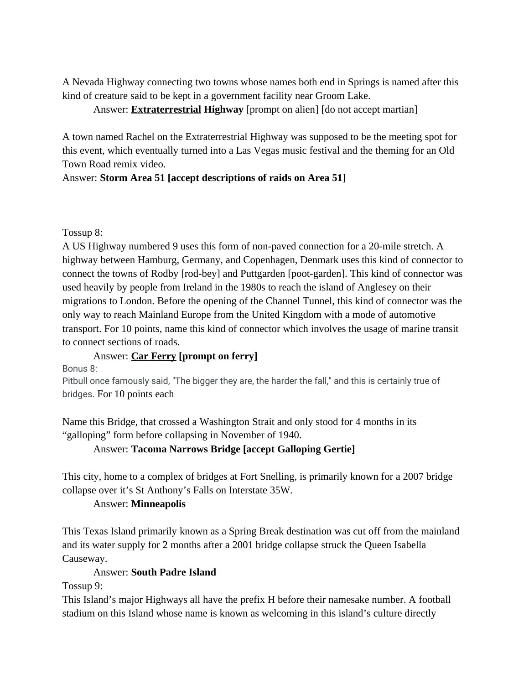A Nevada Highway connecting two towns whose names both end in Springs is named after this kind of creature said to be kept in a government facility near Groom Lake.

## Answer: **Extraterrestrial Highway** [prompt on alien] [do not accept martian]

A town named Rachel on the Extraterrestrial Highway was supposed to be the meeting spot for this event, which eventually turned into a Las Vegas music festival and the theming for an Old Town Road remix video.

## Answer: **Storm Area 51 [accept descriptions of raids on Area 51]**

Tossup 8:

A US Highway numbered 9 uses this form of non-paved connection for a 20-mile stretch. A highway between Hamburg, Germany, and Copenhagen, Denmark uses this kind of connector to connect the towns of Rodby [rod-bey] and Puttgarden [poot-garden]. This kind of connector was used heavily by people from Ireland in the 1980s to reach the island of Anglesey on their migrations to London. Before the opening of the Channel Tunnel, this kind of connector was the only way to reach Mainland Europe from the United Kingdom with a mode of automotive transport. For 10 points, name this kind of connector which involves the usage of marine transit to connect sections of roads.

# Answer: **Car Ferry [prompt on ferry]**

Bonus 8:

Pitbull once famously said, "The bigger they are, the harder the fall," and this is certainly true of bridges. For 10 points each

Name this Bridge, that crossed a Washington Strait and only stood for 4 months in its "galloping" form before collapsing in November of 1940.

# Answer: **Tacoma Narrows Bridge [accept Galloping Gertie]**

This city, home to a complex of bridges at Fort Snelling, is primarily known for a 2007 bridge collapse over it's St Anthony's Falls on Interstate 35W.

# Answer: **Minneapolis**

This Texas Island primarily known as a Spring Break destination was cut off from the mainland and its water supply for 2 months after a 2001 bridge collapse struck the Queen Isabella Causeway.

# Answer: **South Padre Island**

Tossup 9:

This Island's major Highways all have the prefix H before their namesake number. A football stadium on this Island whose name is known as welcoming in this island's culture directly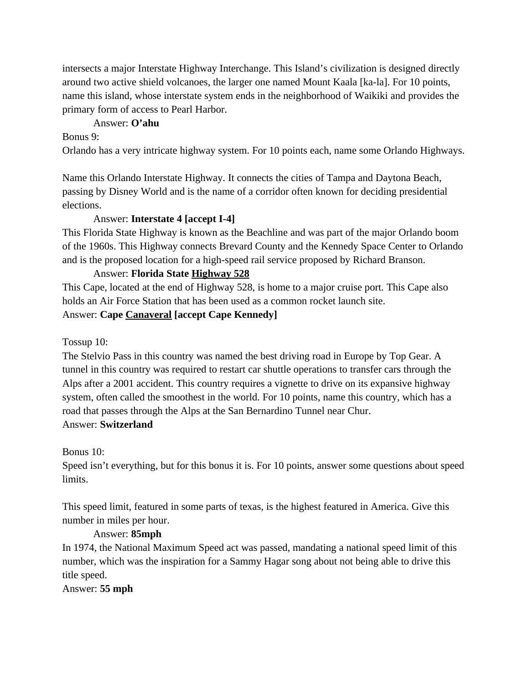intersects a major Interstate Highway Interchange. This Island's civilization is designed directly around two active shield volcanoes, the larger one named Mount Kaala [ka-la]. For 10 points, name this island, whose interstate system ends in the neighborhood of Waikiki and provides the primary form of access to Pearl Harbor.

## Answer: **O'ahu**

Bonus 9:

Orlando has a very intricate highway system. For 10 points each, name some Orlando Highways.

Name this Orlando Interstate Highway. It connects the cities of Tampa and Daytona Beach, passing by Disney World and is the name of a corridor often known for deciding presidential elections.

## Answer: **Interstate 4 [accept I-4]**

This Florida State Highway is known as the Beachline and was part of the major Orlando boom of the 1960s. This Highway connects Brevard County and the Kennedy Space Center to Orlando and is the proposed location for a high-speed rail service proposed by Richard Branson.

# Answer: **Florida State Highway 528**

This Cape, located at the end of Highway 528, is home to a major cruise port. This Cape also holds an Air Force Station that has been used as a common rocket launch site.

Answer: **Cape Canaveral [accept Cape Kennedy]**

Tossup 10:

The Stelvio Pass in this country was named the best driving road in Europe by Top Gear. A tunnel in this country was required to restart car shuttle operations to transfer cars through the Alps after a 2001 accident. This country requires a vignette to drive on its expansive highway system, often called the smoothest in the world. For 10 points, name this country, which has a road that passes through the Alps at the San Bernardino Tunnel near Chur. Answer: **Switzerland**

Bonus 10:

Speed isn't everything, but for this bonus it is. For 10 points, answer some questions about speed limits.

This speed limit, featured in some parts of texas, is the highest featured in America. Give this number in miles per hour.

# Answer: **85mph**

In 1974, the National Maximum Speed act was passed, mandating a national speed limit of this number, which was the inspiration for a Sammy Hagar song about not being able to drive this title speed.

Answer: **55 mph**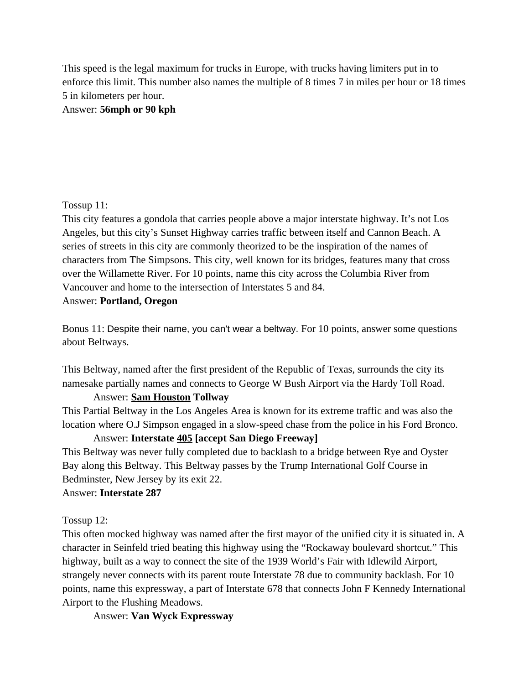This speed is the legal maximum for trucks in Europe, with trucks having limiters put in to enforce this limit. This number also names the multiple of 8 times 7 in miles per hour or 18 times 5 in kilometers per hour.

Answer: **56mph or 90 kph**

## Tossup 11:

This city features a gondola that carries people above a major interstate highway. It's not Los Angeles, but this city's Sunset Highway carries traffic between itself and Cannon Beach. A series of streets in this city are commonly theorized to be the inspiration of the names of characters from The Simpsons. This city, well known for its bridges, features many that cross over the Willamette River. For 10 points, name this city across the Columbia River from Vancouver and home to the intersection of Interstates 5 and 84.

#### Answer: **Portland, Oregon**

Bonus 11: Despite their name, you can't wear a beltway. For 10 points, answer some questions about Beltways.

This Beltway, named after the first president of the Republic of Texas, surrounds the city its namesake partially names and connects to George W Bush Airport via the Hardy Toll Road.

## Answer: **Sam Houston Tollway**

This Partial Beltway in the Los Angeles Area is known for its extreme traffic and was also the location where O.J Simpson engaged in a slow-speed chase from the police in his Ford Bronco.

## Answer: **Interstate 405 [accept San Diego Freeway]**

This Beltway was never fully completed due to backlash to a bridge between Rye and Oyster Bay along this Beltway. This Beltway passes by the Trump International Golf Course in Bedminster, New Jersey by its exit 22.

## Answer: **Interstate 287**

# Tossup 12:

This often mocked highway was named after the first mayor of the unified city it is situated in. A character in Seinfeld tried beating this highway using the "Rockaway boulevard shortcut." This highway, built as a way to connect the site of the 1939 World's Fair with Idlewild Airport, strangely never connects with its parent route Interstate 78 due to community backlash. For 10 points, name this expressway, a part of Interstate 678 that connects John F Kennedy International Airport to the Flushing Meadows.

Answer: **Van Wyck Expressway**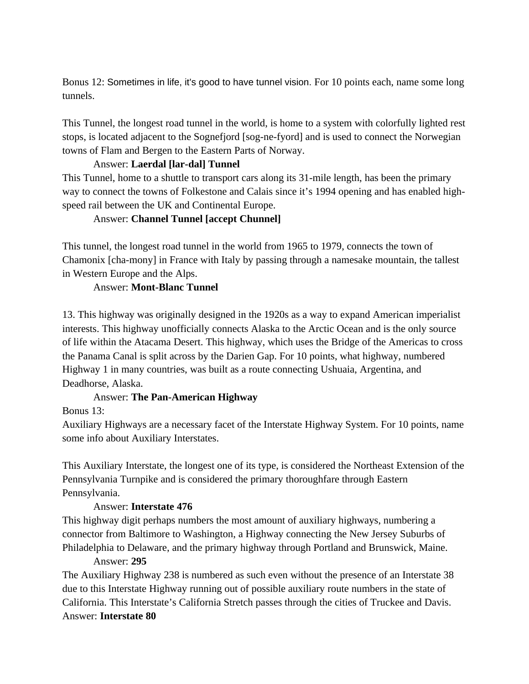Bonus 12: Sometimes in life, it's good to have tunnel vision. For 10 points each, name some long tunnels.

This Tunnel, the longest road tunnel in the world, is home to a system with colorfully lighted rest stops, is located adjacent to the Sognefjord [sog-ne-fyord] and is used to connect the Norwegian towns of Flam and Bergen to the Eastern Parts of Norway.

## Answer: **Laerdal [lar-dal] Tunnel**

This Tunnel, home to a shuttle to transport cars along its 31-mile length, has been the primary way to connect the towns of Folkestone and Calais since it's 1994 opening and has enabled highspeed rail between the UK and Continental Europe.

# Answer: **Channel Tunnel [accept Chunnel]**

This tunnel, the longest road tunnel in the world from 1965 to 1979, connects the town of Chamonix [cha-mony] in France with Italy by passing through a namesake mountain, the tallest in Western Europe and the Alps.

# Answer: **Mont-Blanc Tunnel**

13. This highway was originally designed in the 1920s as a way to expand American imperialist interests. This highway unofficially connects Alaska to the Arctic Ocean and is the only source of life within the Atacama Desert. This highway, which uses the Bridge of the Americas to cross the Panama Canal is split across by the Darien Gap. For 10 points, what highway, numbered Highway 1 in many countries, was built as a route connecting Ushuaia, Argentina, and Deadhorse, Alaska.

## Answer: **The Pan-American Highway**

Bonus 13:

Auxiliary Highways are a necessary facet of the Interstate Highway System. For 10 points, name some info about Auxiliary Interstates.

This Auxiliary Interstate, the longest one of its type, is considered the Northeast Extension of the Pennsylvania Turnpike and is considered the primary thoroughfare through Eastern Pennsylvania.

## Answer: **Interstate 476**

This highway digit perhaps numbers the most amount of auxiliary highways, numbering a connector from Baltimore to Washington, a Highway connecting the New Jersey Suburbs of Philadelphia to Delaware, and the primary highway through Portland and Brunswick, Maine.

## Answer: **295**

The Auxiliary Highway 238 is numbered as such even without the presence of an Interstate 38 due to this Interstate Highway running out of possible auxiliary route numbers in the state of California. This Interstate's California Stretch passes through the cities of Truckee and Davis. Answer: **Interstate 80**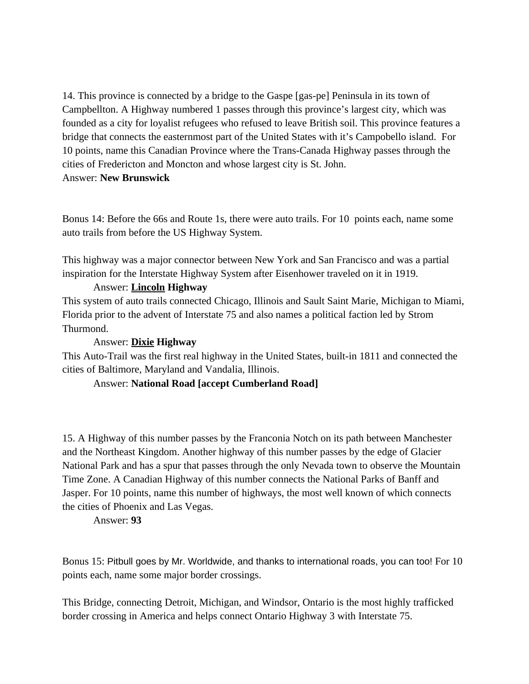14. This province is connected by a bridge to the Gaspe [gas-pe] Peninsula in its town of Campbellton. A Highway numbered 1 passes through this province's largest city, which was founded as a city for loyalist refugees who refused to leave British soil. This province features a bridge that connects the easternmost part of the United States with it's Campobello island. For 10 points, name this Canadian Province where the Trans-Canada Highway passes through the cities of Fredericton and Moncton and whose largest city is St. John. Answer: **New Brunswick**

Bonus 14: Before the 66s and Route 1s, there were auto trails. For 10 points each, name some auto trails from before the US Highway System.

This highway was a major connector between New York and San Francisco and was a partial inspiration for the Interstate Highway System after Eisenhower traveled on it in 1919.

## Answer: **Lincoln Highway**

This system of auto trails connected Chicago, Illinois and Sault Saint Marie, Michigan to Miami, Florida prior to the advent of Interstate 75 and also names a political faction led by Strom Thurmond.

## Answer: **Dixie Highway**

This Auto-Trail was the first real highway in the United States, built-in 1811 and connected the cities of Baltimore, Maryland and Vandalia, Illinois.

## Answer: **National Road [accept Cumberland Road]**

15. A Highway of this number passes by the Franconia Notch on its path between Manchester and the Northeast Kingdom. Another highway of this number passes by the edge of Glacier National Park and has a spur that passes through the only Nevada town to observe the Mountain Time Zone. A Canadian Highway of this number connects the National Parks of Banff and Jasper. For 10 points, name this number of highways, the most well known of which connects the cities of Phoenix and Las Vegas.

Answer: **93**

Bonus 15: Pitbull goes by Mr. Worldwide, and thanks to international roads, you can too! For 10 points each, name some major border crossings.

This Bridge, connecting Detroit, Michigan, and Windsor, Ontario is the most highly trafficked border crossing in America and helps connect Ontario Highway 3 with Interstate 75.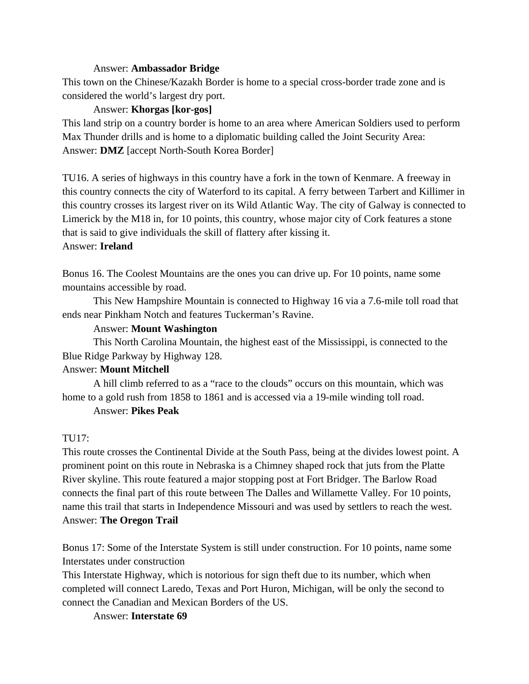#### Answer: **Ambassador Bridge**

This town on the Chinese/Kazakh Border is home to a special cross-border trade zone and is considered the world's largest dry port.

## Answer: **Khorgas [kor-gos]**

This land strip on a country border is home to an area where American Soldiers used to perform Max Thunder drills and is home to a diplomatic building called the Joint Security Area: Answer: **DMZ** [accept North-South Korea Border]

TU16. A series of highways in this country have a fork in the town of Kenmare. A freeway in this country connects the city of Waterford to its capital. A ferry between Tarbert and Killimer in this country crosses its largest river on its Wild Atlantic Way. The city of Galway is connected to Limerick by the M18 in, for 10 points, this country, whose major city of Cork features a stone that is said to give individuals the skill of flattery after kissing it. Answer: **Ireland**

Bonus 16. The Coolest Mountains are the ones you can drive up. For 10 points, name some mountains accessible by road.

This New Hampshire Mountain is connected to Highway 16 via a 7.6-mile toll road that ends near Pinkham Notch and features Tuckerman's Ravine.

## Answer: **Mount Washington**

This North Carolina Mountain, the highest east of the Mississippi, is connected to the Blue Ridge Parkway by Highway 128.

# Answer: **Mount Mitchell**

A hill climb referred to as a "race to the clouds" occurs on this mountain, which was home to a gold rush from 1858 to 1861 and is accessed via a 19-mile winding toll road.

## Answer: **Pikes Peak**

## TU17:

This route crosses the Continental Divide at the South Pass, being at the divides lowest point. A prominent point on this route in Nebraska is a Chimney shaped rock that juts from the Platte River skyline. This route featured a major stopping post at Fort Bridger. The Barlow Road connects the final part of this route between The Dalles and Willamette Valley. For 10 points, name this trail that starts in Independence Missouri and was used by settlers to reach the west. Answer: **The Oregon Trail**

Bonus 17: Some of the Interstate System is still under construction. For 10 points, name some Interstates under construction

This Interstate Highway, which is notorious for sign theft due to its number, which when completed will connect Laredo, Texas and Port Huron, Michigan, will be only the second to connect the Canadian and Mexican Borders of the US.

Answer: **Interstate 69**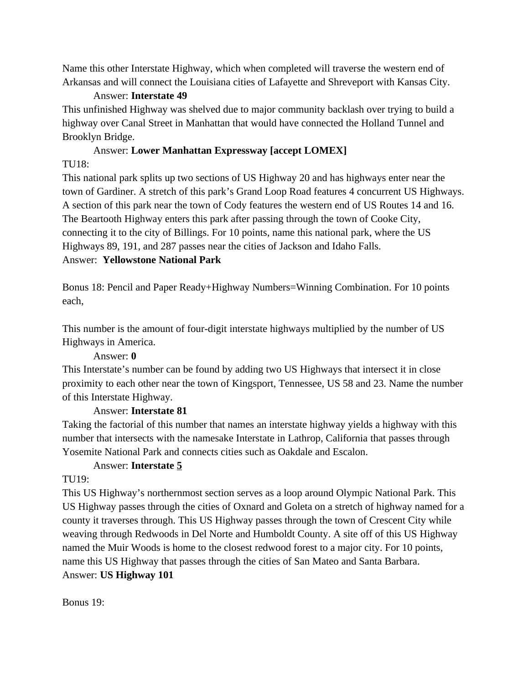Name this other Interstate Highway, which when completed will traverse the western end of Arkansas and will connect the Louisiana cities of Lafayette and Shreveport with Kansas City.

## Answer: **Interstate 49**

This unfinished Highway was shelved due to major community backlash over trying to build a highway over Canal Street in Manhattan that would have connected the Holland Tunnel and Brooklyn Bridge.

# Answer: **Lower Manhattan Expressway [accept LOMEX]**

## TU18:

This national park splits up two sections of US Highway 20 and has highways enter near the town of Gardiner. A stretch of this park's Grand Loop Road features 4 concurrent US Highways. A section of this park near the town of Cody features the western end of US Routes 14 and 16. The Beartooth Highway enters this park after passing through the town of Cooke City, connecting it to the city of Billings. For 10 points, name this national park, where the US Highways 89, 191, and 287 passes near the cities of Jackson and Idaho Falls. Answer: **Yellowstone National Park**

Bonus 18: Pencil and Paper Ready+Highway Numbers=Winning Combination. For 10 points each,

This number is the amount of four-digit interstate highways multiplied by the number of US Highways in America.

# Answer: **0**

This Interstate's number can be found by adding two US Highways that intersect it in close proximity to each other near the town of Kingsport, Tennessee, US 58 and 23. Name the number of this Interstate Highway.

# Answer: **Interstate 81**

Taking the factorial of this number that names an interstate highway yields a highway with this number that intersects with the namesake Interstate in Lathrop, California that passes through Yosemite National Park and connects cities such as Oakdale and Escalon.

# Answer: **Interstate 5**

# TU19:

This US Highway's northernmost section serves as a loop around Olympic National Park. This US Highway passes through the cities of Oxnard and Goleta on a stretch of highway named for a county it traverses through. This US Highway passes through the town of Crescent City while weaving through Redwoods in Del Norte and Humboldt County. A site off of this US Highway named the Muir Woods is home to the closest redwood forest to a major city. For 10 points, name this US Highway that passes through the cities of San Mateo and Santa Barbara. Answer: **US Highway 101**

Bonus 19: